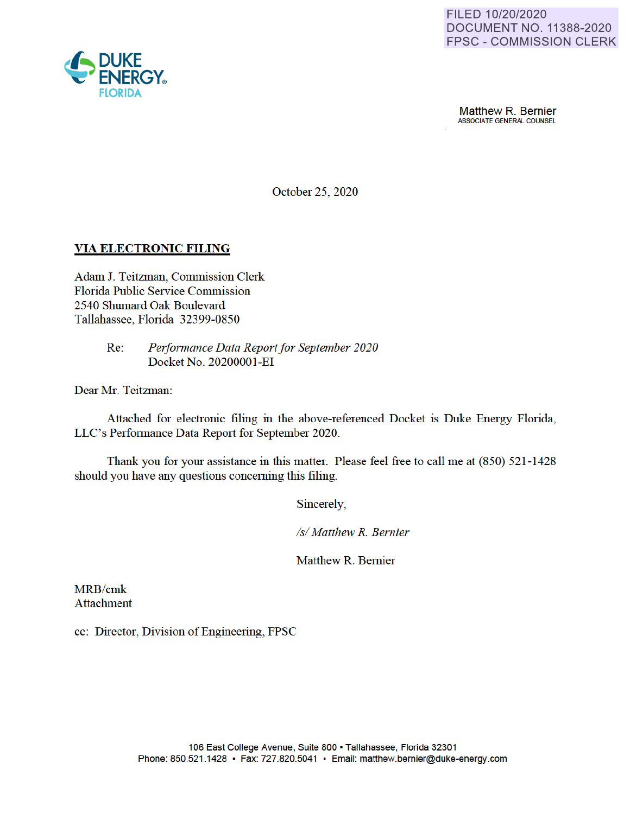

**Matthew R. Bernier**<br>ASSOCIATE GENERAL COUNSEL

October 25, 2020

# **VIA ELECTRONIC FILING**

Adam J. Teitzman, Commission Clerk Florida Public Service Commission 2540 Shumard Oak Boulevard Tallahassee, Florida 32399-0850

> Re: *Performance Data Report for September 2020*  Docket No. 2020000 I-EI

Dear Mr. Teitzman:

Attached for electronic filing in the above-referenced Docket is Duke Energy Florida, LLC's Performance Data Report for September 2020.

Thank you for your assistance in this matter. Please feel free to call me at (850) 521-1428 should you have any questions concerning this filing.

Sincerely

*Isl Matthew R. Bernier* 

Matthew R. Bernier

MRB/cmk Attachment

cc: Director, Division of Engineering, FPSC

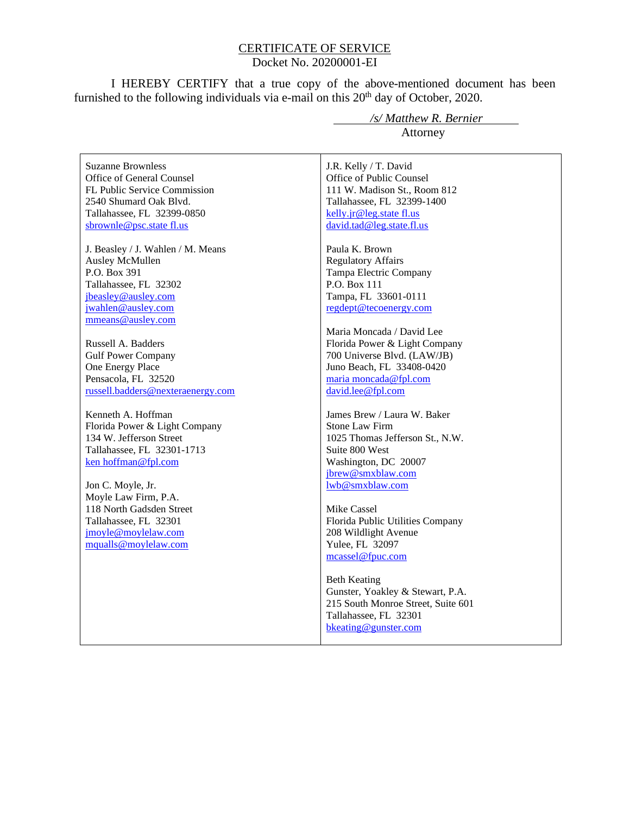#### CERTIFICATE OF SERVICE Docket No. 20200001-EI

I HEREBY CERTIFY that a true copy of the above-mentioned document has been furnished to the following individuals via e-mail on this  $20<sup>th</sup>$  day of October, 2020.

Suzanne Brownless Office of General Counsel FL Public Service Commission 2540 Shumard Oak Blvd. Tallahassee, FL 32399-0850 sbrownle@psc.state fl.us

J. Beasley / J. Wahlen / M. Means Ausley McMullen P.O. Box 391 Tallahassee, FL 32302 jbeasley@ausley.com jwahlen@ausley.com mmeans@ausley.com

Russell A. Badders Gulf Power Company One Energy Place Pensacola, FL 32520 russell.badders@nexteraenergy.com

Kenneth A. Hoffman Florida Power & Light Company 134 W. Jefferson Street Tallahassee, FL 32301-1713 ken hoffman@fpl.com

Jon C. Moyle, Jr. Moyle Law Firm, P.A. 118 North Gadsden Street Tallahassee, FL 32301 jmoyle@moylelaw.com mqualls@moylelaw.com

 */s/ Matthew R. Bernier* Attorney

J.R. Kelly / T. David Office of Public Counsel 111 W. Madison St., Room 812 Tallahassee, FL 32399-1400 kelly.jr@leg.state fl.us david.tad@leg.state.fl.us

Paula K. Brown Regulatory Affairs Tampa Electric Company P.O. Box 111 Tampa, FL 33601-0111 regdept@tecoenergy.com

Maria Moncada / David Lee Florida Power & Light Company 700 Universe Blvd. (LAW/JB) Juno Beach, FL 33408-0420 maria moncada@fpl.com david.lee@fpl.com

James Brew / Laura W. Baker Stone Law Firm 1025 Thomas Jefferson St., N.W. Suite 800 West Washington, DC 20007 jbrew@smxblaw.com lwb@smxblaw.com

Mike Cassel Florida Public Utilities Company 208 Wildlight Avenue Yulee, FL 32097 mcassel@fpuc.com

Beth Keating Gunster, Yoakley & Stewart, P.A. 215 South Monroe Street, Suite 601 Tallahassee, FL 32301 bkeating@gunster.com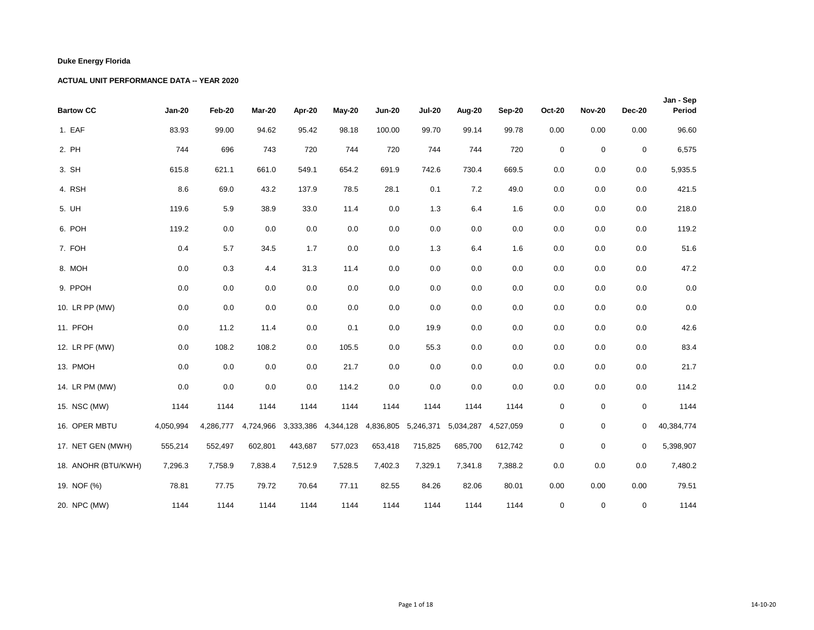| <b>Bartow CC</b>    | <b>Jan-20</b> | Feb-20    | Mar-20    | Apr-20  | May-20              | <b>Jun-20</b> | <b>Jul-20</b> | Aug-20    | Sep-20    | <b>Oct-20</b> | <b>Nov-20</b> | <b>Dec-20</b> | Jan - Sep<br>Period |
|---------------------|---------------|-----------|-----------|---------|---------------------|---------------|---------------|-----------|-----------|---------------|---------------|---------------|---------------------|
| 1. EAF              | 83.93         | 99.00     | 94.62     | 95.42   | 98.18               | 100.00        | 99.70         | 99.14     | 99.78     | 0.00          | 0.00          | 0.00          | 96.60               |
| 2. PH               | 744           | 696       | 743       | 720     | 744                 | 720           | 744           | 744       | 720       | $\mathbf 0$   | $\mathbf 0$   | $\mathbf 0$   | 6,575               |
| 3. SH               | 615.8         | 621.1     | 661.0     | 549.1   | 654.2               | 691.9         | 742.6         | 730.4     | 669.5     | 0.0           | 0.0           | 0.0           | 5,935.5             |
| 4. RSH              | 8.6           | 69.0      | 43.2      | 137.9   | 78.5                | 28.1          | 0.1           | 7.2       | 49.0      | 0.0           | 0.0           | 0.0           | 421.5               |
| 5. UH               | 119.6         | 5.9       | 38.9      | 33.0    | 11.4                | 0.0           | 1.3           | 6.4       | 1.6       | 0.0           | 0.0           | 0.0           | 218.0               |
| 6. POH              | 119.2         | 0.0       | 0.0       | $0.0\,$ | 0.0                 | 0.0           | 0.0           | 0.0       | $0.0\,$   | 0.0           | 0.0           | 0.0           | 119.2               |
| 7. FOH              | 0.4           | 5.7       | 34.5      | 1.7     | 0.0                 | 0.0           | 1.3           | 6.4       | 1.6       | 0.0           | 0.0           | 0.0           | 51.6                |
| 8. MOH              | 0.0           | 0.3       | 4.4       | 31.3    | 11.4                | 0.0           | 0.0           | 0.0       | 0.0       | 0.0           | 0.0           | 0.0           | 47.2                |
| 9. PPOH             | 0.0           | 0.0       | 0.0       | 0.0     | 0.0                 | 0.0           | 0.0           | 0.0       | 0.0       | 0.0           | 0.0           | 0.0           | 0.0                 |
| 10. LR PP (MW)      | 0.0           | 0.0       | 0.0       | 0.0     | 0.0                 | $0.0\,$       | 0.0           | 0.0       | 0.0       | 0.0           | 0.0           | 0.0           | $0.0\,$             |
| 11. PFOH            | 0.0           | 11.2      | 11.4      | 0.0     | 0.1                 | 0.0           | 19.9          | 0.0       | 0.0       | 0.0           | 0.0           | 0.0           | 42.6                |
| 12. LR PF (MW)      | 0.0           | 108.2     | 108.2     | 0.0     | 105.5               | 0.0           | 55.3          | 0.0       | 0.0       | 0.0           | 0.0           | 0.0           | 83.4                |
| 13. PMOH            | 0.0           | 0.0       | 0.0       | $0.0\,$ | 21.7                | 0.0           | 0.0           | 0.0       | $0.0\,$   | 0.0           | 0.0           | 0.0           | 21.7                |
| 14. LR PM (MW)      | 0.0           | 0.0       | 0.0       | 0.0     | 114.2               | 0.0           | 0.0           | 0.0       | 0.0       | 0.0           | 0.0           | 0.0           | 114.2               |
| 15. NSC (MW)        | 1144          | 1144      | 1144      | 1144    | 1144                | 1144          | 1144          | 1144      | 1144      | $\mathbf 0$   | $\mathbf 0$   | 0             | 1144                |
| 16. OPER MBTU       | 4,050,994     | 4,286,777 | 4,724,966 |         | 3,333,386 4,344,128 | 4,836,805     | 5,246,371     | 5,034,287 | 4,527,059 | $\mathbf 0$   | $\mathbf 0$   | 0             | 40,384,774          |
| 17. NET GEN (MWH)   | 555,214       | 552,497   | 602,801   | 443,687 | 577,023             | 653,418       | 715,825       | 685,700   | 612,742   | $\mathbf 0$   | $\mathbf 0$   | $\mathbf 0$   | 5,398,907           |
| 18. ANOHR (BTU/KWH) | 7,296.3       | 7,758.9   | 7,838.4   | 7,512.9 | 7,528.5             | 7,402.3       | 7,329.1       | 7,341.8   | 7,388.2   | 0.0           | 0.0           | 0.0           | 7,480.2             |
| 19. NOF (%)         | 78.81         | 77.75     | 79.72     | 70.64   | 77.11               | 82.55         | 84.26         | 82.06     | 80.01     | 0.00          | 0.00          | 0.00          | 79.51               |
| 20. NPC (MW)        | 1144          | 1144      | 1144      | 1144    | 1144                | 1144          | 1144          | 1144      | 1144      | 0             | 0             | 0             | 1144                |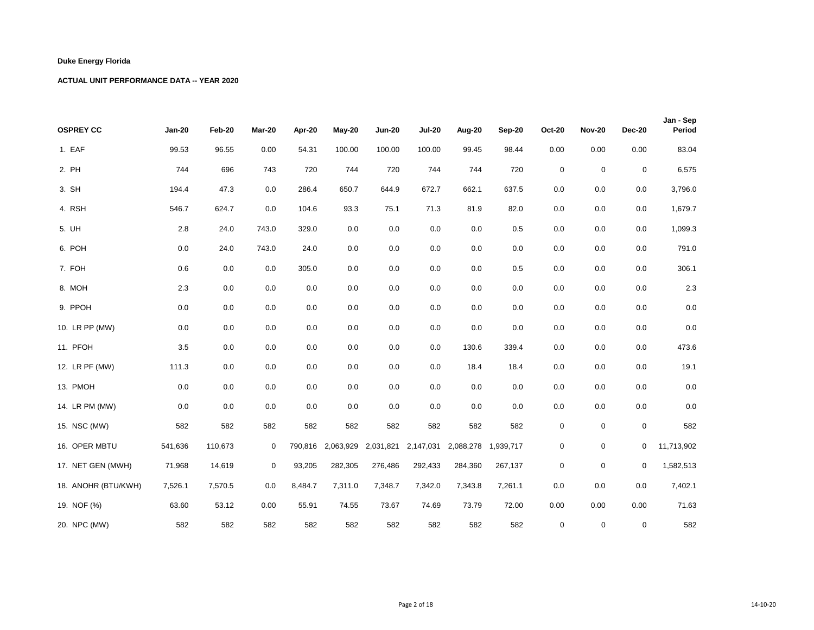| <b>OSPREY CC</b>    | <b>Jan-20</b> | Feb-20  | Mar-20      | Apr-20  | $May-20$  | <b>Jun-20</b> | <b>Jul-20</b> | Aug-20    | Sep-20    | <b>Oct-20</b> | <b>Nov-20</b> | <b>Dec-20</b> | Jan - Sep<br>Period |
|---------------------|---------------|---------|-------------|---------|-----------|---------------|---------------|-----------|-----------|---------------|---------------|---------------|---------------------|
| 1. EAF              | 99.53         | 96.55   | 0.00        | 54.31   | 100.00    | 100.00        | 100.00        | 99.45     | 98.44     | 0.00          | 0.00          | 0.00          | 83.04               |
| 2. PH               | 744           | 696     | 743         | 720     | 744       | 720           | 744           | 744       | 720       | $\mathsf 0$   | $\mathbf 0$   | $\pmb{0}$     | 6,575               |
| 3. SH               | 194.4         | 47.3    | 0.0         | 286.4   | 650.7     | 644.9         | 672.7         | 662.1     | 637.5     | 0.0           | 0.0           | 0.0           | 3,796.0             |
| 4. RSH              | 546.7         | 624.7   | 0.0         | 104.6   | 93.3      | 75.1          | 71.3          | 81.9      | 82.0      | 0.0           | 0.0           | 0.0           | 1,679.7             |
| 5. UH               | 2.8           | 24.0    | 743.0       | 329.0   | 0.0       | 0.0           | 0.0           | 0.0       | 0.5       | 0.0           | 0.0           | 0.0           | 1,099.3             |
| 6. POH              | 0.0           | 24.0    | 743.0       | 24.0    | 0.0       | 0.0           | 0.0           | 0.0       | 0.0       | 0.0           | 0.0           | 0.0           | 791.0               |
| 7. FOH              | 0.6           | 0.0     | 0.0         | 305.0   | 0.0       | 0.0           | 0.0           | 0.0       | 0.5       | 0.0           | 0.0           | 0.0           | 306.1               |
| 8. MOH              | 2.3           | 0.0     | 0.0         | 0.0     | 0.0       | 0.0           | 0.0           | 0.0       | 0.0       | 0.0           | 0.0           | 0.0           | $2.3\,$             |
| 9. PPOH             | 0.0           | 0.0     | 0.0         | 0.0     | 0.0       | 0.0           | 0.0           | 0.0       | 0.0       | 0.0           | 0.0           | 0.0           | $0.0\,$             |
| 10. LR PP (MW)      | 0.0           | 0.0     | 0.0         | 0.0     | 0.0       | 0.0           | 0.0           | 0.0       | 0.0       | 0.0           | 0.0           | 0.0           | $0.0\,$             |
| 11. PFOH            | 3.5           | 0.0     | 0.0         | 0.0     | 0.0       | 0.0           | 0.0           | 130.6     | 339.4     | 0.0           | 0.0           | 0.0           | 473.6               |
| 12. LR PF (MW)      | 111.3         | 0.0     | 0.0         | 0.0     | 0.0       | 0.0           | 0.0           | 18.4      | 18.4      | 0.0           | 0.0           | 0.0           | 19.1                |
| 13. PMOH            | 0.0           | 0.0     | 0.0         | 0.0     | 0.0       | 0.0           | 0.0           | 0.0       | 0.0       | 0.0           | 0.0           | 0.0           | $0.0\,$             |
| 14. LR PM (MW)      | 0.0           | 0.0     | 0.0         | 0.0     | 0.0       | 0.0           | 0.0           | 0.0       | 0.0       | 0.0           | 0.0           | 0.0           | 0.0                 |
| 15. NSC (MW)        | 582           | 582     | 582         | 582     | 582       | 582           | 582           | 582       | 582       | $\mathsf 0$   | $\mathbf 0$   | 0             | 582                 |
| 16. OPER MBTU       | 541,636       | 110,673 | $\mathbf 0$ | 790,816 | 2,063,929 | 2,031,821     | 2,147,031     | 2,088,278 | 1,939,717 | 0             | 0             | 0             | 11,713,902          |
| 17. NET GEN (MWH)   | 71,968        | 14,619  | 0           | 93,205  | 282,305   | 276,486       | 292,433       | 284,360   | 267,137   | 0             | $\mathbf 0$   | 0             | 1,582,513           |
| 18. ANOHR (BTU/KWH) | 7,526.1       | 7,570.5 | 0.0         | 8,484.7 | 7,311.0   | 7,348.7       | 7,342.0       | 7,343.8   | 7,261.1   | 0.0           | 0.0           | 0.0           | 7,402.1             |
| 19. NOF (%)         | 63.60         | 53.12   | 0.00        | 55.91   | 74.55     | 73.67         | 74.69         | 73.79     | 72.00     | 0.00          | 0.00          | 0.00          | 71.63               |
| 20. NPC (MW)        | 582           | 582     | 582         | 582     | 582       | 582           | 582           | 582       | 582       | $\mathbf 0$   | $\mathbf 0$   | $\mathbf 0$   | 582                 |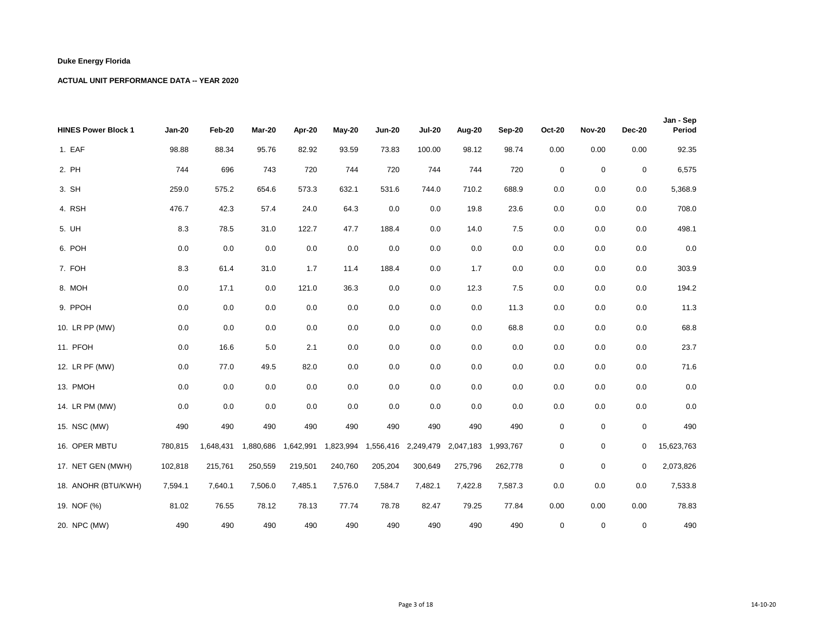| <b>HINES Power Block 1</b> | <b>Jan-20</b> | Feb-20    | Mar-20    | Apr-20    | May-20    | <b>Jun-20</b> | <b>Jul-20</b> | Aug-20                                  | Sep-20  | <b>Oct-20</b> | <b>Nov-20</b> | <b>Dec-20</b> | Jan - Sep<br>Period |
|----------------------------|---------------|-----------|-----------|-----------|-----------|---------------|---------------|-----------------------------------------|---------|---------------|---------------|---------------|---------------------|
| 1. EAF                     | 98.88         | 88.34     | 95.76     | 82.92     | 93.59     | 73.83         | 100.00        | 98.12                                   | 98.74   | 0.00          | 0.00          | 0.00          | 92.35               |
| 2. PH                      | 744           | 696       | 743       | 720       | 744       | 720           | 744           | 744                                     | 720     | $\mathbf 0$   | $\mathbf 0$   | $\pmb{0}$     | 6,575               |
| 3. SH                      | 259.0         | 575.2     | 654.6     | 573.3     | 632.1     | 531.6         | 744.0         | 710.2                                   | 688.9   | 0.0           | 0.0           | 0.0           | 5,368.9             |
| 4. RSH                     | 476.7         | 42.3      | 57.4      | 24.0      | 64.3      | $0.0\,$       | 0.0           | 19.8                                    | 23.6    | 0.0           | 0.0           | 0.0           | 708.0               |
| 5. UH                      | 8.3           | 78.5      | 31.0      | 122.7     | 47.7      | 188.4         | 0.0           | 14.0                                    | 7.5     | 0.0           | 0.0           | 0.0           | 498.1               |
| 6. POH                     | 0.0           | 0.0       | 0.0       | 0.0       | 0.0       | 0.0           | 0.0           | 0.0                                     | 0.0     | 0.0           | 0.0           | 0.0           | $0.0\,$             |
| 7. FOH                     | 8.3           | 61.4      | 31.0      | 1.7       | 11.4      | 188.4         | 0.0           | 1.7                                     | 0.0     | 0.0           | 0.0           | 0.0           | 303.9               |
| 8. MOH                     | 0.0           | 17.1      | 0.0       | 121.0     | 36.3      | 0.0           | 0.0           | 12.3                                    | 7.5     | 0.0           | 0.0           | 0.0           | 194.2               |
| 9. PPOH                    | 0.0           | 0.0       | 0.0       | 0.0       | 0.0       | $0.0\,$       | 0.0           | 0.0                                     | 11.3    | 0.0           | 0.0           | 0.0           | 11.3                |
| 10. LR PP (MW)             | 0.0           | 0.0       | 0.0       | 0.0       | 0.0       | 0.0           | 0.0           | 0.0                                     | 68.8    | 0.0           | 0.0           | 0.0           | 68.8                |
| 11. PFOH                   | 0.0           | 16.6      | 5.0       | 2.1       | 0.0       | 0.0           | 0.0           | 0.0                                     | 0.0     | 0.0           | 0.0           | 0.0           | 23.7                |
| 12. LR PF (MW)             | 0.0           | 77.0      | 49.5      | 82.0      | 0.0       | 0.0           | 0.0           | 0.0                                     | 0.0     | 0.0           | 0.0           | 0.0           | 71.6                |
| 13. PMOH                   | 0.0           | 0.0       | 0.0       | 0.0       | 0.0       | 0.0           | 0.0           | 0.0                                     | 0.0     | 0.0           | 0.0           | 0.0           | $0.0\,$             |
| 14. LR PM (MW)             | 0.0           | 0.0       | 0.0       | 0.0       | 0.0       | 0.0           | 0.0           | 0.0                                     | 0.0     | 0.0           | 0.0           | 0.0           | 0.0                 |
| 15. NSC (MW)               | 490           | 490       | 490       | 490       | 490       | 490           | 490           | 490                                     | 490     | $\mathbf 0$   | $\mathbf 0$   | 0             | 490                 |
| 16. OPER MBTU              | 780,815       | 1,648,431 | 1,880,686 | 1,642,991 | 1,823,994 |               |               | 1,556,416 2,249,479 2,047,183 1,993,767 |         | 0             | $\mathbf 0$   | 0             | 15,623,763          |
| 17. NET GEN (MWH)          | 102,818       | 215,761   | 250,559   | 219,501   | 240,760   | 205,204       | 300,649       | 275,796                                 | 262,778 | 0             | $\mathbf 0$   | $\mathbf 0$   | 2,073,826           |
| 18. ANOHR (BTU/KWH)        | 7,594.1       | 7,640.1   | 7,506.0   | 7,485.1   | 7,576.0   | 7,584.7       | 7,482.1       | 7,422.8                                 | 7,587.3 | 0.0           | 0.0           | 0.0           | 7,533.8             |
| 19. NOF (%)                | 81.02         | 76.55     | 78.12     | 78.13     | 77.74     | 78.78         | 82.47         | 79.25                                   | 77.84   | 0.00          | 0.00          | 0.00          | 78.83               |
| 20. NPC (MW)               | 490           | 490       | 490       | 490       | 490       | 490           | 490           | 490                                     | 490     | $\mathbf 0$   | 0             | 0             | 490                 |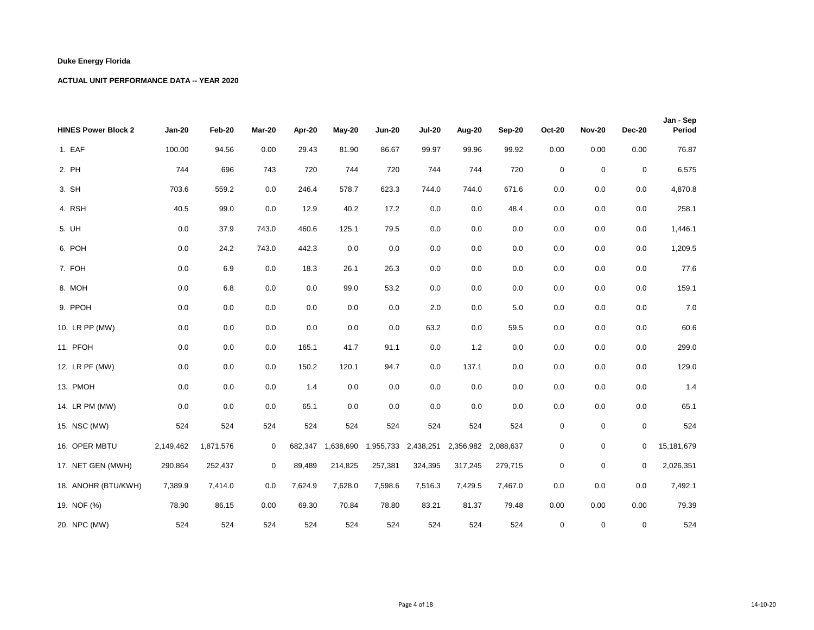| <b>HINES Power Block 2</b> | <b>Jan-20</b> | Feb-20    | Mar-20      | Apr-20  | <b>May-20</b> | <b>Jun-20</b> | <b>Jul-20</b>       | Aug-20  | Sep-20              | <b>Oct-20</b> | <b>Nov-20</b> | <b>Dec-20</b> | Jan - Sep<br>Period |
|----------------------------|---------------|-----------|-------------|---------|---------------|---------------|---------------------|---------|---------------------|---------------|---------------|---------------|---------------------|
| 1. EAF                     | 100.00        | 94.56     | 0.00        | 29.43   | 81.90         | 86.67         | 99.97               | 99.96   | 99.92               | 0.00          | 0.00          | 0.00          | 76.87               |
| 2. PH                      | 744           | 696       | 743         | 720     | 744           | 720           | 744                 | 744     | 720                 | $\mathsf 0$   | $\mathbf 0$   | $\pmb{0}$     | 6,575               |
| 3. SH                      | 703.6         | 559.2     | 0.0         | 246.4   | 578.7         | 623.3         | 744.0               | 744.0   | 671.6               | 0.0           | 0.0           | 0.0           | 4,870.8             |
| 4. RSH                     | 40.5          | 99.0      | 0.0         | 12.9    | 40.2          | 17.2          | 0.0                 | 0.0     | 48.4                | 0.0           | 0.0           | 0.0           | 258.1               |
| 5. UH                      | 0.0           | 37.9      | 743.0       | 460.6   | 125.1         | 79.5          | 0.0                 | 0.0     | 0.0                 | 0.0           | 0.0           | 0.0           | 1,446.1             |
| 6. POH                     | 0.0           | 24.2      | 743.0       | 442.3   | 0.0           | 0.0           | 0.0                 | 0.0     | 0.0                 | 0.0           | 0.0           | 0.0           | 1,209.5             |
| 7. FOH                     | 0.0           | 6.9       | 0.0         | 18.3    | 26.1          | 26.3          | 0.0                 | 0.0     | 0.0                 | 0.0           | 0.0           | 0.0           | 77.6                |
| 8. MOH                     | 0.0           | 6.8       | 0.0         | 0.0     | 99.0          | 53.2          | 0.0                 | 0.0     | 0.0                 | 0.0           | 0.0           | 0.0           | 159.1               |
| 9. PPOH                    | 0.0           | 0.0       | 0.0         | 0.0     | 0.0           | 0.0           | 2.0                 | 0.0     | 5.0                 | 0.0           | 0.0           | 0.0           | $7.0$               |
| 10. LR PP (MW)             | 0.0           | 0.0       | 0.0         | 0.0     | 0.0           | 0.0           | 63.2                | 0.0     | 59.5                | 0.0           | 0.0           | 0.0           | 60.6                |
| 11. PFOH                   | 0.0           | 0.0       | 0.0         | 165.1   | 41.7          | 91.1          | 0.0                 | 1.2     | 0.0                 | 0.0           | 0.0           | 0.0           | 299.0               |
| 12. LR PF (MW)             | 0.0           | 0.0       | 0.0         | 150.2   | 120.1         | 94.7          | 0.0                 | 137.1   | 0.0                 | 0.0           | 0.0           | 0.0           | 129.0               |
| 13. PMOH                   | 0.0           | 0.0       | 0.0         | 1.4     | 0.0           | 0.0           | 0.0                 | 0.0     | 0.0                 | 0.0           | 0.0           | 0.0           | 1.4                 |
| 14. LR PM (MW)             | 0.0           | 0.0       | 0.0         | 65.1    | 0.0           | 0.0           | 0.0                 | 0.0     | 0.0                 | 0.0           | 0.0           | 0.0           | 65.1                |
| 15. NSC (MW)               | 524           | 524       | 524         | 524     | 524           | 524           | 524                 | 524     | 524                 | $\pmb{0}$     | $\mathbf 0$   | 0             | 524                 |
| 16. OPER MBTU              | 2,149,462     | 1,871,576 | $\mathbf 0$ | 682,347 | 1,638,690     |               | 1,955,733 2,438,251 |         | 2,356,982 2,088,637 | $\mathsf 0$   | 0             | $\mathbf{0}$  | 15,181,679          |
| 17. NET GEN (MWH)          | 290,864       | 252,437   | 0           | 89,489  | 214,825       | 257,381       | 324,395             | 317,245 | 279,715             | $\pmb{0}$     | $\mathbf 0$   | $\mathbf 0$   | 2,026,351           |
| 18. ANOHR (BTU/KWH)        | 7,389.9       | 7,414.0   | 0.0         | 7,624.9 | 7,628.0       | 7,598.6       | 7,516.3             | 7,429.5 | 7,467.0             | 0.0           | 0.0           | 0.0           | 7,492.1             |
| 19. NOF (%)                | 78.90         | 86.15     | 0.00        | 69.30   | 70.84         | 78.80         | 83.21               | 81.37   | 79.48               | 0.00          | 0.00          | 0.00          | 79.39               |
| 20. NPC (MW)               | 524           | 524       | 524         | 524     | 524           | 524           | 524                 | 524     | 524                 | $\mathbf 0$   | $\mathbf 0$   | $\mathbf 0$   | 524                 |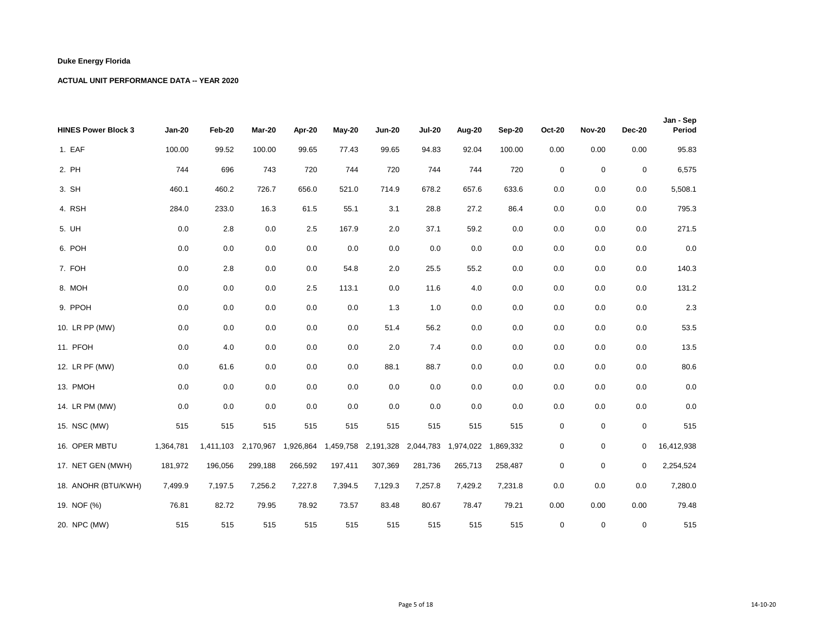| <b>HINES Power Block 3</b> | <b>Jan-20</b> | Feb-20    | Mar-20    | Apr-20  | May-20  | <b>Jun-20</b> | <b>Jul-20</b>                                               | Aug-20  | Sep-20  | <b>Oct-20</b>    | <b>Nov-20</b> | <b>Dec-20</b> | Jan - Sep<br>Period |
|----------------------------|---------------|-----------|-----------|---------|---------|---------------|-------------------------------------------------------------|---------|---------|------------------|---------------|---------------|---------------------|
| 1. EAF                     | 100.00        | 99.52     | 100.00    | 99.65   | 77.43   | 99.65         | 94.83                                                       | 92.04   | 100.00  | 0.00             | 0.00          | 0.00          | 95.83               |
| 2. PH                      | 744           | 696       | 743       | 720     | 744     | 720           | 744                                                         | 744     | 720     | $\mathbf 0$      | $\mathbf 0$   | $\pmb{0}$     | 6,575               |
| 3. SH                      | 460.1         | 460.2     | 726.7     | 656.0   | 521.0   | 714.9         | 678.2                                                       | 657.6   | 633.6   | 0.0              | 0.0           | 0.0           | 5,508.1             |
| 4. RSH                     | 284.0         | 233.0     | 16.3      | 61.5    | 55.1    | 3.1           | 28.8                                                        | 27.2    | 86.4    | 0.0              | 0.0           | 0.0           | 795.3               |
| 5. UH                      | 0.0           | $2.8\,$   | 0.0       | 2.5     | 167.9   | 2.0           | 37.1                                                        | 59.2    | 0.0     | 0.0              | 0.0           | 0.0           | 271.5               |
| 6. POH                     | 0.0           | 0.0       | 0.0       | 0.0     | $0.0\,$ | 0.0           | 0.0                                                         | 0.0     | 0.0     | 0.0              | 0.0           | 0.0           | $0.0\,$             |
| 7. FOH                     | 0.0           | 2.8       | 0.0       | 0.0     | 54.8    | 2.0           | 25.5                                                        | 55.2    | 0.0     | 0.0              | 0.0           | 0.0           | 140.3               |
| 8. MOH                     | 0.0           | 0.0       | 0.0       | 2.5     | 113.1   | 0.0           | 11.6                                                        | 4.0     | 0.0     | 0.0              | 0.0           | 0.0           | 131.2               |
| 9. PPOH                    | 0.0           | 0.0       | 0.0       | 0.0     | 0.0     | 1.3           | 1.0                                                         | 0.0     | 0.0     | 0.0              | 0.0           | 0.0           | 2.3                 |
| 10. LR PP (MW)             | 0.0           | 0.0       | 0.0       | 0.0     | 0.0     | 51.4          | 56.2                                                        | 0.0     | 0.0     | 0.0              | 0.0           | 0.0           | 53.5                |
| 11. PFOH                   | 0.0           | 4.0       | 0.0       | 0.0     | 0.0     | 2.0           | 7.4                                                         | 0.0     | 0.0     | 0.0              | 0.0           | 0.0           | 13.5                |
| 12. LR PF (MW)             | 0.0           | 61.6      | 0.0       | 0.0     | 0.0     | 88.1          | 88.7                                                        | 0.0     | 0.0     | 0.0              | 0.0           | 0.0           | 80.6                |
| 13. PMOH                   | 0.0           | 0.0       | 0.0       | 0.0     | 0.0     | 0.0           | 0.0                                                         | 0.0     | 0.0     | 0.0              | 0.0           | 0.0           | $0.0\,$             |
| 14. LR PM (MW)             | 0.0           | 0.0       | 0.0       | 0.0     | 0.0     | 0.0           | 0.0                                                         | 0.0     | 0.0     | 0.0              | 0.0           | 0.0           | 0.0                 |
| 15. NSC (MW)               | 515           | 515       | 515       | 515     | 515     | 515           | 515                                                         | 515     | 515     | $\boldsymbol{0}$ | $\mathbf 0$   | 0             | 515                 |
| 16. OPER MBTU              | 1,364,781     | 1,411,103 | 2,170,967 |         |         |               | 1,926,864 1,459,758 2,191,328 2,044,783 1,974,022 1,869,332 |         |         | $\mathbf 0$      | $\mathbf 0$   | 0             | 16,412,938          |
| 17. NET GEN (MWH)          | 181,972       | 196,056   | 299,188   | 266,592 | 197,411 | 307,369       | 281,736                                                     | 265,713 | 258,487 | 0                | $\mathbf 0$   | $\mathbf 0$   | 2,254,524           |
| 18. ANOHR (BTU/KWH)        | 7,499.9       | 7,197.5   | 7,256.2   | 7,227.8 | 7,394.5 | 7,129.3       | 7,257.8                                                     | 7,429.2 | 7,231.8 | 0.0              | 0.0           | 0.0           | 7,280.0             |
| 19. NOF (%)                | 76.81         | 82.72     | 79.95     | 78.92   | 73.57   | 83.48         | 80.67                                                       | 78.47   | 79.21   | 0.00             | 0.00          | 0.00          | 79.48               |
| 20. NPC (MW)               | 515           | 515       | 515       | 515     | 515     | 515           | 515                                                         | 515     | 515     | $\pmb{0}$        | 0             | 0             | 515                 |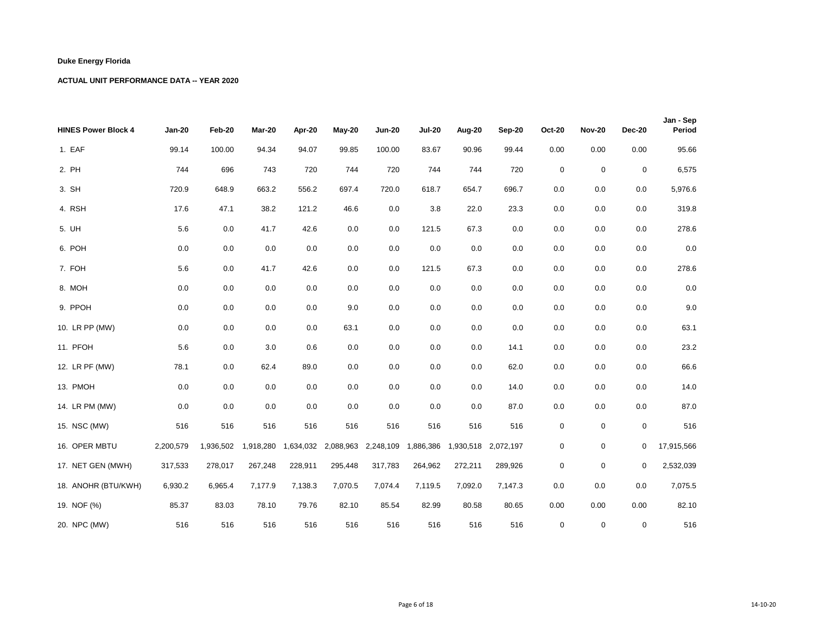| <b>HINES Power Block 4</b> | <b>Jan-20</b> | Feb-20    | Mar-20    | Apr-20  | <b>May-20</b> | <b>Jun-20</b>                 | <b>Jul-20</b> | Aug-20  | Sep-20              | <b>Oct-20</b> | <b>Nov-20</b> | <b>Dec-20</b> | Jan - Sep<br>Period |
|----------------------------|---------------|-----------|-----------|---------|---------------|-------------------------------|---------------|---------|---------------------|---------------|---------------|---------------|---------------------|
| 1. EAF                     | 99.14         | 100.00    | 94.34     | 94.07   | 99.85         | 100.00                        | 83.67         | 90.96   | 99.44               | 0.00          | 0.00          | 0.00          | 95.66               |
| 2. PH                      | 744           | 696       | 743       | 720     | 744           | 720                           | 744           | 744     | 720                 | 0             | $\mathbf 0$   | 0             | 6,575               |
| 3. SH                      | 720.9         | 648.9     | 663.2     | 556.2   | 697.4         | 720.0                         | 618.7         | 654.7   | 696.7               | 0.0           | 0.0           | 0.0           | 5,976.6             |
| 4. RSH                     | 17.6          | 47.1      | 38.2      | 121.2   | 46.6          | 0.0                           | 3.8           | 22.0    | 23.3                | 0.0           | 0.0           | 0.0           | 319.8               |
| 5. UH                      | 5.6           | 0.0       | 41.7      | 42.6    | 0.0           | 0.0                           | 121.5         | 67.3    | $0.0\,$             | 0.0           | 0.0           | 0.0           | 278.6               |
| 6. POH                     | 0.0           | 0.0       | 0.0       | 0.0     | 0.0           | 0.0                           | 0.0           | 0.0     | 0.0                 | 0.0           | 0.0           | 0.0           | $0.0\,$             |
| 7. FOH                     | 5.6           | 0.0       | 41.7      | 42.6    | 0.0           | 0.0                           | 121.5         | 67.3    | 0.0                 | 0.0           | 0.0           | 0.0           | 278.6               |
| 8. MOH                     | 0.0           | 0.0       | 0.0       | 0.0     | 0.0           | 0.0                           | 0.0           | 0.0     | 0.0                 | 0.0           | 0.0           | 0.0           | $0.0\,$             |
| 9. PPOH                    | 0.0           | 0.0       | 0.0       | 0.0     | 9.0           | 0.0                           | 0.0           | 0.0     | 0.0                 | 0.0           | 0.0           | 0.0           | 9.0                 |
| 10. LR PP (MW)             | 0.0           | 0.0       | 0.0       | 0.0     | 63.1          | 0.0                           | 0.0           | 0.0     | 0.0                 | 0.0           | 0.0           | 0.0           | 63.1                |
| 11. PFOH                   | 5.6           | 0.0       | 3.0       | 0.6     | 0.0           | 0.0                           | 0.0           | 0.0     | 14.1                | 0.0           | 0.0           | 0.0           | 23.2                |
| 12. LR PF (MW)             | 78.1          | 0.0       | 62.4      | 89.0    | 0.0           | 0.0                           | 0.0           | 0.0     | 62.0                | 0.0           | 0.0           | 0.0           | 66.6                |
| 13. PMOH                   | 0.0           | 0.0       | 0.0       | 0.0     | 0.0           | 0.0                           | 0.0           | 0.0     | 14.0                | 0.0           | 0.0           | 0.0           | 14.0                |
| 14. LR PM (MW)             | 0.0           | 0.0       | 0.0       | 0.0     | 0.0           | 0.0                           | 0.0           | 0.0     | 87.0                | 0.0           | 0.0           | 0.0           | 87.0                |
| 15. NSC (MW)               | 516           | 516       | 516       | 516     | 516           | 516                           | 516           | 516     | 516                 | $\mathbf 0$   | $\mathbf 0$   | 0             | 516                 |
| 16. OPER MBTU              | 2,200,579     | 1,936,502 | 1,918,280 |         |               | 1,634,032 2,088,963 2,248,109 | 1,886,386     |         | 1,930,518 2,072,197 | 0             | $\mathbf 0$   | 0             | 17,915,566          |
| 17. NET GEN (MWH)          | 317,533       | 278,017   | 267,248   | 228,911 | 295,448       | 317,783                       | 264,962       | 272,211 | 289,926             | 0             | $\mathbf 0$   | $\mathbf 0$   | 2,532,039           |
| 18. ANOHR (BTU/KWH)        | 6,930.2       | 6,965.4   | 7,177.9   | 7,138.3 | 7,070.5       | 7,074.4                       | 7,119.5       | 7,092.0 | 7,147.3             | 0.0           | 0.0           | 0.0           | 7,075.5             |
| 19. NOF (%)                | 85.37         | 83.03     | 78.10     | 79.76   | 82.10         | 85.54                         | 82.99         | 80.58   | 80.65               | 0.00          | 0.00          | 0.00          | 82.10               |
| 20. NPC (MW)               | 516           | 516       | 516       | 516     | 516           | 516                           | 516           | 516     | 516                 | $\mathbf 0$   | 0             | 0             | 516                 |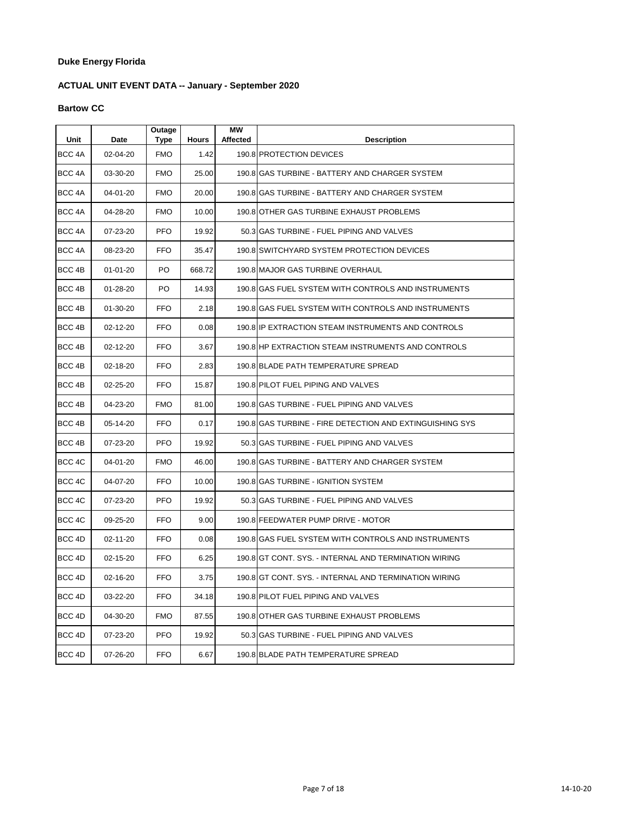# **ACTUAL UNIT EVENT DATA -- January - September 2020**

#### **Bartow CC**

| Unit              | Date           | Outage<br>Type | <b>Hours</b> | <b>MW</b><br><b>Affected</b> | <b>Description</b>                                       |
|-------------------|----------------|----------------|--------------|------------------------------|----------------------------------------------------------|
| BCC <sub>4A</sub> | 02-04-20       | <b>FMO</b>     | 1.42         |                              | 190.8 PROTECTION DEVICES                                 |
| BCC 4A            | 03-30-20       | <b>FMO</b>     | 25.00        |                              | 190.8 GAS TURBINE - BATTERY AND CHARGER SYSTEM           |
| BCC 4A            | 04-01-20       | <b>FMO</b>     | 20.00        |                              | 190.8 GAS TURBINE - BATTERY AND CHARGER SYSTEM           |
| BCC 4A            | 04-28-20       | <b>FMO</b>     | 10.00        |                              | 190.8 OTHER GAS TURBINE EXHAUST PROBLEMS                 |
| BCC <sub>4A</sub> | 07-23-20       | <b>PFO</b>     | 19.92        |                              | 50.3 GAS TURBINE - FUEL PIPING AND VALVES                |
| BCC <sub>4A</sub> | 08-23-20       | FFO            | 35.47        |                              | 190.8 SWITCHYARD SYSTEM PROTECTION DEVICES               |
| BCC 4B            | $01 - 01 - 20$ | PO             | 668.72       |                              | 190.8 MAJOR GAS TURBINE OVERHAUL                         |
| BCC 4B            | 01-28-20       | PO.            | 14.93        |                              | 190.8 GAS FUEL SYSTEM WITH CONTROLS AND INSTRUMENTS      |
| BCC <sub>4B</sub> | 01-30-20       | FFO            | 2.18         |                              | 190.8 GAS FUEL SYSTEM WITH CONTROLS AND INSTRUMENTS      |
| BCC 4B            | 02-12-20       | FFO            | 0.08         |                              | 190.8 IP EXTRACTION STEAM INSTRUMENTS AND CONTROLS       |
| BCC 4B            | 02-12-20       | FFO.           | 3.67         |                              | 190.8 HP EXTRACTION STEAM INSTRUMENTS AND CONTROLS       |
| BCC 4B            | 02-18-20       | FFO            | 2.83         |                              | 190.8 BLADE PATH TEMPERATURE SPREAD                      |
| BCC <sub>4B</sub> | 02-25-20       | FFO.           | 15.87        |                              | 190.8 PILOT FUEL PIPING AND VALVES                       |
| BCC 4B            | 04-23-20       | <b>FMO</b>     | 81.00        |                              | 190.8 GAS TURBINE - FUEL PIPING AND VALVES               |
| BCC 4B            | 05-14-20       | <b>FFO</b>     | 0.17         |                              | 190.8 GAS TURBINE - FIRE DETECTION AND EXTINGUISHING SYS |
| BCC 4B            | 07-23-20       | <b>PFO</b>     | 19.92        |                              | 50.3 GAS TURBINE - FUEL PIPING AND VALVES                |
| BCC 4C            | 04-01-20       | <b>FMO</b>     | 46.00        |                              | 190.8 GAS TURBINE - BATTERY AND CHARGER SYSTEM           |
| BCC 4C            | 04-07-20       | FFO            | 10.00        |                              | 190.8 GAS TURBINE - IGNITION SYSTEM                      |
| BCC 4C            | 07-23-20       | <b>PFO</b>     | 19.92        |                              | 50.3 GAS TURBINE - FUEL PIPING AND VALVES                |
| BCC 4C            | 09-25-20       | FFO            | 9.00         |                              | 190.8 FEEDWATER PUMP DRIVE - MOTOR                       |
| BCC 4D            | 02-11-20       | FFO            | 0.08         |                              | 190.8 GAS FUEL SYSTEM WITH CONTROLS AND INSTRUMENTS      |
| BCC 4D            | 02-15-20       | FFO            | 6.25         |                              | 190.8 GT CONT. SYS. - INTERNAL AND TERMINATION WIRING    |
| BCC 4D            | 02-16-20       | <b>FFO</b>     | 3.75         |                              | 190.8 GT CONT. SYS. - INTERNAL AND TERMINATION WIRING    |
| BCC 4D            | 03-22-20       | <b>FFO</b>     | 34.18        |                              | 190.8 PILOT FUEL PIPING AND VALVES                       |
| BCC <sub>4D</sub> | 04-30-20       | <b>FMO</b>     | 87.55        |                              | 190.8 OTHER GAS TURBINE EXHAUST PROBLEMS                 |
| BCC 4D            | 07-23-20       | <b>PFO</b>     | 19.92        |                              | 50.3 GAS TURBINE - FUEL PIPING AND VALVES                |
| BCC 4D            | 07-26-20       | <b>FFO</b>     | 6.67         |                              | 190.8 BLADE PATH TEMPERATURE SPREAD                      |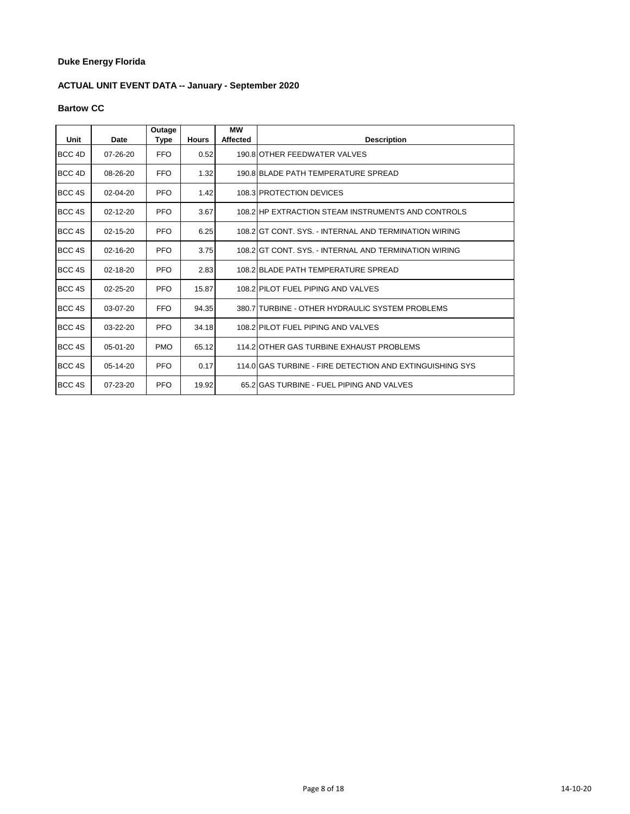# **ACTUAL UNIT EVENT DATA -- January - September 2020**

#### **Bartow CC**

| Unit   | Date           | Outage<br>Type | <b>Hours</b> | <b>MW</b><br><b>Affected</b> | <b>Description</b>                                       |
|--------|----------------|----------------|--------------|------------------------------|----------------------------------------------------------|
| BCC 4D | $07 - 26 - 20$ | <b>FFO</b>     | 0.52         |                              | 190.8 OTHER FEEDWATER VALVES                             |
| BCC 4D | 08-26-20       | <b>FFO</b>     | 1.32         |                              | 190.8 BLADE PATH TEMPERATURE SPREAD                      |
| BCC 4S | $02 - 04 - 20$ | <b>PFO</b>     | 1.42         |                              | 108.3 PROTECTION DEVICES                                 |
| BCC 4S | $02 - 12 - 20$ | <b>PFO</b>     | 3.67         |                              | 108.2 HP EXTRACTION STEAM INSTRUMENTS AND CONTROLS       |
| BCC 4S | 02-15-20       | <b>PFO</b>     | 6.25         |                              | 108.2 IGT CONT. SYS. - INTERNAL AND TERMINATION WIRING   |
| BCC 4S | 02-16-20       | <b>PFO</b>     | 3.75         |                              | 108.2 IGT CONT. SYS. - INTERNAL AND TERMINATION WIRING   |
| BCC 4S | $02 - 18 - 20$ | <b>PFO</b>     | 2.83         |                              | 108.2 BLADE PATH TEMPERATURE SPREAD                      |
| BCC 4S | $02 - 25 - 20$ | <b>PFO</b>     | 15.87        |                              | 108.2 PILOT FUEL PIPING AND VALVES                       |
| BCC 4S | 03-07-20       | <b>FFO</b>     | 94.35        |                              | 380.7 TURBINE - OTHER HYDRAULIC SYSTEM PROBLEMS          |
| BCC 4S | $03 - 22 - 20$ | <b>PFO</b>     | 34.18        |                              | 108.2 PILOT FUEL PIPING AND VALVES                       |
| BCC 4S | $05-01-20$     | <b>PMO</b>     | 65.12        |                              | 114.2 OTHER GAS TURBINE EXHAUST PROBLEMS                 |
| BCC 4S | $05-14-20$     | <b>PFO</b>     | 0.17         |                              | 114.0 GAS TURBINE - FIRE DETECTION AND EXTINGUISHING SYS |
| BCC 4S | $07 - 23 - 20$ | <b>PFO</b>     | 19.92        |                              | 65.2 GAS TURBINE - FUEL PIPING AND VALVES                |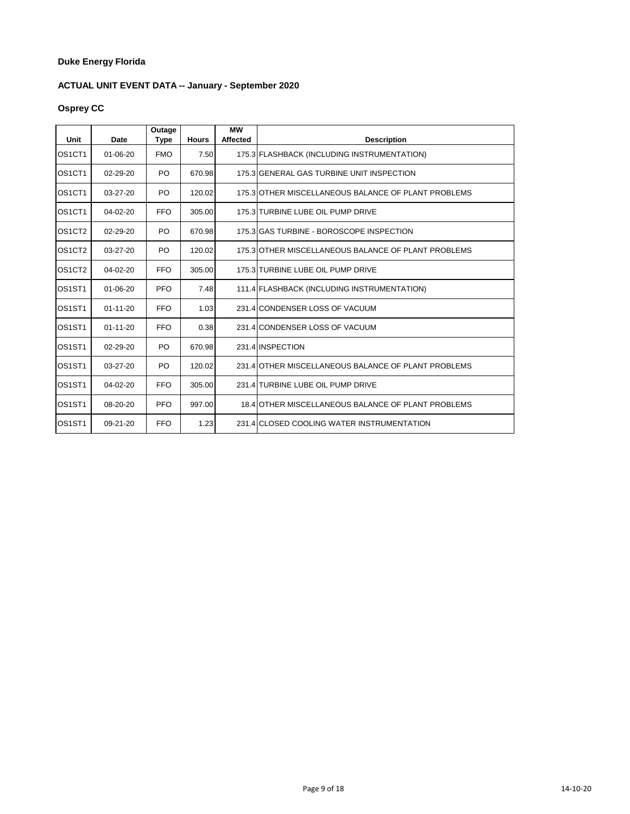# **ACTUAL UNIT EVENT DATA -- January - September 2020**

# **Osprey CC**

| Unit                            | Date           | Outage<br><b>Type</b> | <b>Hours</b> | <b>MW</b><br><b>Affected</b> | <b>Description</b>                                  |
|---------------------------------|----------------|-----------------------|--------------|------------------------------|-----------------------------------------------------|
| OS <sub>1</sub> CT <sub>1</sub> | 01-06-20       | <b>FMO</b>            | 7.50         |                              | 175.3 FLASHBACK (INCLUDING INSTRUMENTATION)         |
| OS <sub>1</sub> CT <sub>1</sub> | 02-29-20       | PO                    | 670.98       |                              | 175.3 GENERAL GAS TURBINE UNIT INSPECTION           |
| OS <sub>1</sub> CT <sub>1</sub> | 03-27-20       | PO                    | 120.02       |                              | 175.3 OTHER MISCELLANEOUS BALANCE OF PLANT PROBLEMS |
| OS <sub>1</sub> CT <sub>1</sub> | 04-02-20       | <b>FFO</b>            | 305.00       |                              | 175.3 TURBINE LUBE OIL PUMP DRIVE                   |
| OS1CT2                          | 02-29-20       | PO.                   | 670.98       |                              | 175.3 GAS TURBINE - BOROSCOPE INSPECTION            |
| OS <sub>1</sub> CT <sub>2</sub> | $03 - 27 - 20$ | PO.                   | 120.02       |                              | 175.3 OTHER MISCELLANEOUS BALANCE OF PLANT PROBLEMS |
| OS <sub>1</sub> CT <sub>2</sub> | 04-02-20       | <b>FFO</b>            | 305.00       |                              | 175.3 TURBINE LUBE OIL PUMP DRIVE                   |
| OS <sub>1</sub> ST <sub>1</sub> | $01 - 06 - 20$ | <b>PFO</b>            | 7.48         |                              | 111.4 FLASHBACK (INCLUDING INSTRUMENTATION)         |
| OS1ST1                          | $01 - 11 - 20$ | <b>FFO</b>            | 1.03         |                              | 231.4 CONDENSER LOSS OF VACUUM                      |
| OS <sub>1</sub> ST <sub>1</sub> | $01 - 11 - 20$ | <b>FFO</b>            | 0.38         |                              | 231.4 CONDENSER LOSS OF VACUUM                      |
| OS1ST1                          | 02-29-20       | PO.                   | 670.98       |                              | 231.4 INSPECTION                                    |
| OS <sub>1</sub> ST <sub>1</sub> | $03 - 27 - 20$ | PO.                   | 120.02       |                              | 231.4 OTHER MISCELLANEOUS BALANCE OF PLANT PROBLEMS |
| OS <sub>1</sub> ST <sub>1</sub> | $04 - 02 - 20$ | <b>FFO</b>            | 305.00       |                              | 231.4 TURBINE LUBE OIL PUMP DRIVE                   |
| OS <sub>1</sub> ST <sub>1</sub> | $08 - 20 - 20$ | <b>PFO</b>            | 997.00       |                              | 18.4 OTHER MISCELLANEOUS BALANCE OF PLANT PROBLEMS  |
| OS <sub>1</sub> ST <sub>1</sub> | $09 - 21 - 20$ | <b>FFO</b>            | 1.23         |                              | 231.4 CLOSED COOLING WATER INSTRUMENTATION          |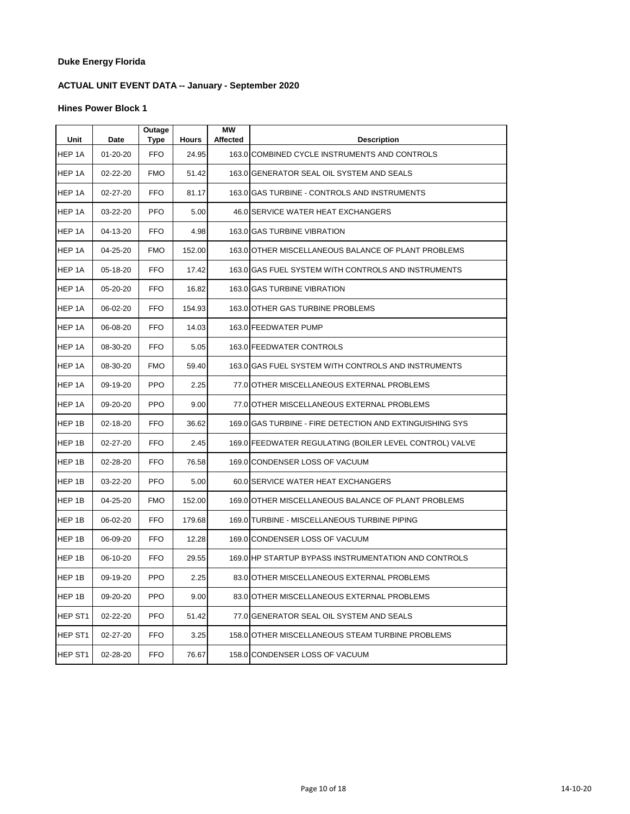# **ACTUAL UNIT EVENT DATA -- January - September 2020**

| Unit    | Date     | Outage<br><b>Type</b> | <b>Hours</b> | <b>MW</b><br><b>Affected</b> | <b>Description</b>                                       |
|---------|----------|-----------------------|--------------|------------------------------|----------------------------------------------------------|
| HEP 1A  | 01-20-20 | <b>FFO</b>            | 24.95        |                              | 163.0 COMBINED CYCLE INSTRUMENTS AND CONTROLS            |
| HEP 1A  | 02-22-20 | <b>FMO</b>            | 51.42        |                              | 163.0 GENERATOR SEAL OIL SYSTEM AND SEALS                |
| HEP 1A  | 02-27-20 | <b>FFO</b>            | 81.17        |                              | 163.0 GAS TURBINE - CONTROLS AND INSTRUMENTS             |
| HEP 1A  | 03-22-20 | <b>PFO</b>            | 5.00         |                              | 46.0 SERVICE WATER HEAT EXCHANGERS                       |
| HEP 1A  | 04-13-20 | <b>FFO</b>            | 4.98         |                              | 163.0 GAS TURBINE VIBRATION                              |
| HEP 1A  | 04-25-20 | <b>FMO</b>            | 152.00       |                              | 163.0 OTHER MISCELLANEOUS BALANCE OF PLANT PROBLEMS      |
| HEP 1A  | 05-18-20 | <b>FFO</b>            | 17.42        |                              | 163.0 GAS FUEL SYSTEM WITH CONTROLS AND INSTRUMENTS      |
| HEP 1A  | 05-20-20 | <b>FFO</b>            | 16.82        |                              | 163.0 GAS TURBINE VIBRATION                              |
| HEP 1A  | 06-02-20 | <b>FFO</b>            | 154.93       |                              | 163.0 OTHER GAS TURBINE PROBLEMS                         |
| HEP 1A  | 06-08-20 | <b>FFO</b>            | 14.03        |                              | 163.0 FEEDWATER PUMP                                     |
| HEP 1A  | 08-30-20 | <b>FFO</b>            | 5.05         |                              | 163.0 FEEDWATER CONTROLS                                 |
| HEP 1A  | 08-30-20 | <b>FMO</b>            | 59.40        |                              | 163.0 GAS FUEL SYSTEM WITH CONTROLS AND INSTRUMENTS      |
| HEP 1A  | 09-19-20 | <b>PPO</b>            | 2.25         |                              | 77.0 OTHER MISCELLANEOUS EXTERNAL PROBLEMS               |
| HEP 1A  | 09-20-20 | <b>PPO</b>            | 9.00         |                              | 77.0 OTHER MISCELLANEOUS EXTERNAL PROBLEMS               |
| HEP 1B  | 02-18-20 | <b>FFO</b>            | 36.62        |                              | 169.0 GAS TURBINE - FIRE DETECTION AND EXTINGUISHING SYS |
| HEP 1B  | 02-27-20 | <b>FFO</b>            | 2.45         |                              | 169.0 FEEDWATER REGULATING (BOILER LEVEL CONTROL) VALVE  |
| HEP 1B  | 02-28-20 | <b>FFO</b>            | 76.58        |                              | 169.0 CONDENSER LOSS OF VACUUM                           |
| HEP 1B  | 03-22-20 | <b>PFO</b>            | 5.00         |                              | 60.0 SERVICE WATER HEAT EXCHANGERS                       |
| HEP 1B  | 04-25-20 | <b>FMO</b>            | 152.00       |                              | 169.0 OTHER MISCELLANEOUS BALANCE OF PLANT PROBLEMS      |
| HEP 1B  | 06-02-20 | <b>FFO</b>            | 179.68       |                              | 169.0 TURBINE - MISCELLANEOUS TURBINE PIPING             |
| HEP 1B  | 06-09-20 | <b>FFO</b>            | 12.28        |                              | 169.0 CONDENSER LOSS OF VACUUM                           |
| HEP 1B  | 06-10-20 | <b>FFO</b>            | 29.55        |                              | 169.0 HP STARTUP BYPASS INSTRUMENTATION AND CONTROLS     |
| HEP 1B  | 09-19-20 | <b>PPO</b>            | 2.25         |                              | 83.0 OTHER MISCELLANEOUS EXTERNAL PROBLEMS               |
| HEP 1B  | 09-20-20 | <b>PPO</b>            | 9.00         |                              | 83.0 OTHER MISCELLANEOUS EXTERNAL PROBLEMS               |
| HEP ST1 | 02-22-20 | <b>PFO</b>            | 51.42        |                              | 77.0 GENERATOR SEAL OIL SYSTEM AND SEALS                 |
| HEP ST1 | 02-27-20 | <b>FFO</b>            | 3.25         |                              | 158.0 OTHER MISCELLANEOUS STEAM TURBINE PROBLEMS         |
| HEP ST1 | 02-28-20 | <b>FFO</b>            | 76.67        |                              | 158.0 CONDENSER LOSS OF VACUUM                           |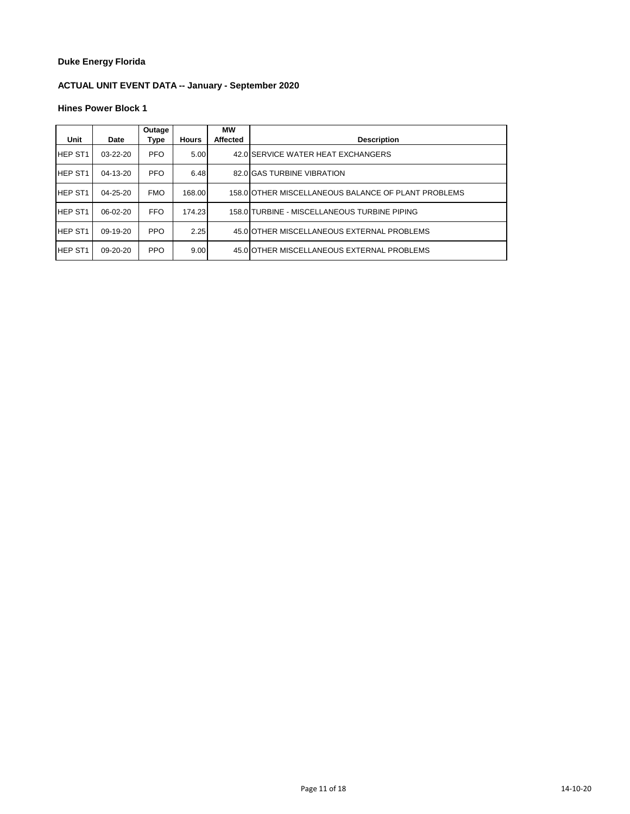# **ACTUAL UNIT EVENT DATA -- January - September 2020**

| Unit           | Date           | Outage<br>Type | <b>Hours</b> | <b>MW</b><br><b>Affected</b> | <b>Description</b>                                  |
|----------------|----------------|----------------|--------------|------------------------------|-----------------------------------------------------|
|                |                |                |              |                              |                                                     |
| <b>HEP ST1</b> | $03-22-20$     | <b>PFO</b>     | 5.00         |                              | 42.0 SERVICE WATER HEAT EXCHANGERS                  |
| <b>HEP ST1</b> | $04-13-20$     | <b>PFO</b>     | 6.48         |                              | 82.0 GAS TURBINE VIBRATION                          |
| <b>HEP ST1</b> | $04 - 25 - 20$ | <b>FMO</b>     | 168.00       |                              | 158.0 OTHER MISCELLANEOUS BALANCE OF PLANT PROBLEMS |
| <b>HEP ST1</b> | $06-02-20$     | <b>FFO</b>     | 174.23       |                              | 158.0 TURBINE - MISCELLANEOUS TURBINE PIPING        |
| <b>HEP ST1</b> | $09-19-20$     | <b>PPO</b>     | 2.25         |                              | 45.0 OTHER MISCELLANEOUS EXTERNAL PROBLEMS          |
| <b>HEP ST1</b> | $09 - 20 - 20$ | <b>PPO</b>     | 9.00         |                              | 45.0 OTHER MISCELLANEOUS EXTERNAL PROBLEMS          |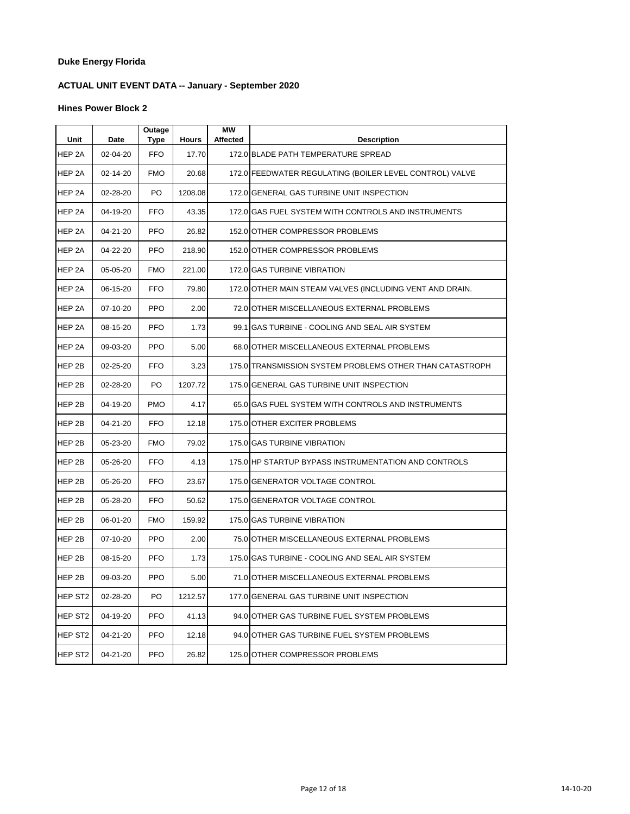# **ACTUAL UNIT EVENT DATA -- January - September 2020**

| Unit                | Date     | Outage<br>Type | <b>Hours</b> | <b>MW</b><br>Affected | <b>Description</b>                                       |
|---------------------|----------|----------------|--------------|-----------------------|----------------------------------------------------------|
| HEP 2A              | 02-04-20 | <b>FFO</b>     | 17.70        |                       | 172.0 BLADE PATH TEMPERATURE SPREAD                      |
| HEP 2A              | 02-14-20 | <b>FMO</b>     | 20.68        |                       | 172.0 FEEDWATER REGULATING (BOILER LEVEL CONTROL) VALVE  |
| HEP 2A              | 02-28-20 | PO             | 1208.08      |                       | 172.0 GENERAL GAS TURBINE UNIT INSPECTION                |
| HEP 2A              | 04-19-20 | <b>FFO</b>     | 43.35        |                       | 172.0 GAS FUEL SYSTEM WITH CONTROLS AND INSTRUMENTS      |
| HEP 2A              | 04-21-20 | <b>PFO</b>     | 26.82        |                       | 152.0 OTHER COMPRESSOR PROBLEMS                          |
| HEP 2A              | 04-22-20 | <b>PFO</b>     | 218.90       |                       | 152.0 OTHER COMPRESSOR PROBLEMS                          |
| HEP 2A              | 05-05-20 | <b>FMO</b>     | 221.00       |                       | 172.0 GAS TURBINE VIBRATION                              |
| HEP 2A              | 06-15-20 | <b>FFO</b>     | 79.80        |                       | 172.0 OTHER MAIN STEAM VALVES (INCLUDING VENT AND DRAIN. |
| HEP 2A              | 07-10-20 | <b>PPO</b>     | 2.00         |                       | 72.0 OTHER MISCELLANEOUS EXTERNAL PROBLEMS               |
| HEP 2A              | 08-15-20 | <b>PFO</b>     | 1.73         |                       | 99.1 GAS TURBINE - COOLING AND SEAL AIR SYSTEM           |
| HEP 2A              | 09-03-20 | <b>PPO</b>     | 5.00         |                       | 68.0 OTHER MISCELLANEOUS EXTERNAL PROBLEMS               |
| HEP 2B              | 02-25-20 | FFO            | 3.23         |                       | 175.0 TRANSMISSION SYSTEM PROBLEMS OTHER THAN CATASTROPH |
| HEP 2B              | 02-28-20 | PO             | 1207.72      |                       | 175.0 GENERAL GAS TURBINE UNIT INSPECTION                |
| HEP 2B              | 04-19-20 | <b>PMO</b>     | 4.17         |                       | 65.0 GAS FUEL SYSTEM WITH CONTROLS AND INSTRUMENTS       |
| HEP 2B              | 04-21-20 | <b>FFO</b>     | 12.18        |                       | 175.0 OTHER EXCITER PROBLEMS                             |
| HEP 2B              | 05-23-20 | <b>FMO</b>     | 79.02        |                       | 175.0 GAS TURBINE VIBRATION                              |
| HEP 2B              | 05-26-20 | <b>FFO</b>     | 4.13         |                       | 175.0 HP STARTUP BYPASS INSTRUMENTATION AND CONTROLS     |
| HEP 2B              | 05-26-20 | FFO            | 23.67        |                       | 175.0 GENERATOR VOLTAGE CONTROL                          |
| HEP 2B              | 05-28-20 | <b>FFO</b>     | 50.62        |                       | 175.0 GENERATOR VOLTAGE CONTROL                          |
| HEP 2B              | 06-01-20 | <b>FMO</b>     | 159.92       |                       | 175.0 GAS TURBINE VIBRATION                              |
| HEP 2B              | 07-10-20 | <b>PPO</b>     | 2.00         |                       | 75.0 OTHER MISCELLANEOUS EXTERNAL PROBLEMS               |
| HEP 2B              | 08-15-20 | <b>PFO</b>     | 1.73         |                       | 175.0 GAS TURBINE - COOLING AND SEAL AIR SYSTEM          |
| HEP <sub>2B</sub>   | 09-03-20 | <b>PPO</b>     | 5.00         |                       | 71.0 OTHER MISCELLANEOUS EXTERNAL PROBLEMS               |
| HEP ST <sub>2</sub> | 02-28-20 | PO             | 1212.57      |                       | 177.0 GENERAL GAS TURBINE UNIT INSPECTION                |
| HEP ST <sub>2</sub> | 04-19-20 | <b>PFO</b>     | 41.13        |                       | 94.0 OTHER GAS TURBINE FUEL SYSTEM PROBLEMS              |
| HEP ST <sub>2</sub> | 04-21-20 | <b>PFO</b>     | 12.18        |                       | 94.0 OTHER GAS TURBINE FUEL SYSTEM PROBLEMS              |
| HEP ST <sub>2</sub> | 04-21-20 | <b>PFO</b>     | 26.82        |                       | 125.0 OTHER COMPRESSOR PROBLEMS                          |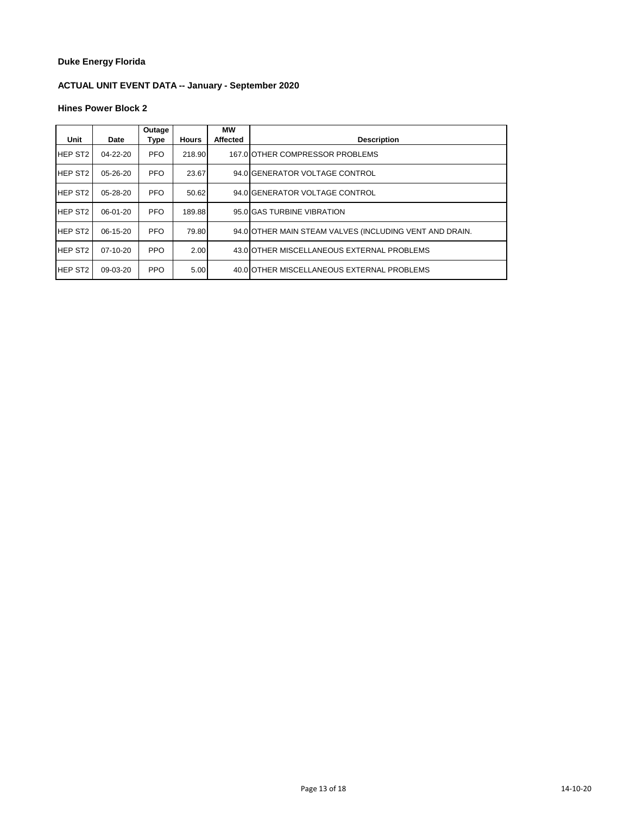# **ACTUAL UNIT EVENT DATA -- January - September 2020**

| Unit           | Date           | Outage<br>Type | <b>Hours</b> | <b>MW</b><br><b>Affected</b> | <b>Description</b>                                      |
|----------------|----------------|----------------|--------------|------------------------------|---------------------------------------------------------|
| <b>HEP ST2</b> | 04-22-20       | <b>PFO</b>     | 218.90       |                              | 167.0 OTHER COMPRESSOR PROBLEMS                         |
| <b>HEP ST2</b> | 05-26-20       | <b>PFO</b>     | 23.67        |                              | 94.0 GENERATOR VOLTAGE CONTROL                          |
| <b>HEP ST2</b> | $05 - 28 - 20$ | <b>PFO</b>     | 50.62        |                              | 94.0 GENERATOR VOLTAGE CONTROL                          |
| <b>HEP ST2</b> | $06-01-20$     | <b>PFO</b>     | 189.88       |                              | 95.0 GAS TURBINE VIBRATION                              |
| <b>HEP ST2</b> | $06-15-20$     | <b>PFO</b>     | 79.80        |                              | 94.0 OTHER MAIN STEAM VALVES (INCLUDING VENT AND DRAIN. |
| <b>HEP ST2</b> | $07-10-20$     | <b>PPO</b>     | 2.00         |                              | 43.0 OTHER MISCELLANEOUS EXTERNAL PROBLEMS              |
| <b>HEP ST2</b> | 09-03-20       | <b>PPO</b>     | 5.00         |                              | 40.0 OTHER MISCELLANEOUS EXTERNAL PROBLEMS              |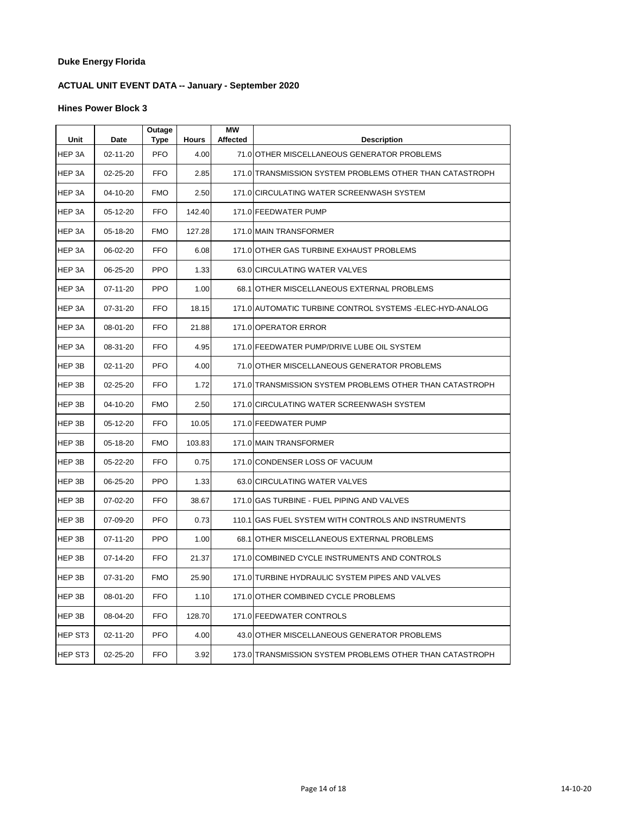# **ACTUAL UNIT EVENT DATA -- January - September 2020**

| Unit    | Date           | Outage<br>Type | <b>Hours</b> | МW<br><b>Affected</b> | <b>Description</b>                                        |
|---------|----------------|----------------|--------------|-----------------------|-----------------------------------------------------------|
| HEP 3A  | 02-11-20       | <b>PFO</b>     | 4.00         |                       | 71.0 OTHER MISCELLANEOUS GENERATOR PROBLEMS               |
| HEP 3A  | 02-25-20       | <b>FFO</b>     | 2.85         |                       | 171.0 TRANSMISSION SYSTEM PROBLEMS OTHER THAN CATASTROPH  |
| HEP 3A  | 04-10-20       | <b>FMO</b>     | 2.50         |                       | 171.0 CIRCULATING WATER SCREENWASH SYSTEM                 |
| HEP 3A  | 05-12-20       | <b>FFO</b>     | 142.40       |                       | 171.0 FEEDWATER PUMP                                      |
| HEP 3A  | 05-18-20       | <b>FMO</b>     | 127.28       |                       | 171.0 MAIN TRANSFORMER                                    |
| HEP 3A  | 06-02-20       | <b>FFO</b>     | 6.08         |                       | 171.0 OTHER GAS TURBINE EXHAUST PROBLEMS                  |
| HEP 3A  | 06-25-20       | <b>PPO</b>     | 1.33         |                       | 63.0 CIRCULATING WATER VALVES                             |
| HEP 3A  | 07-11-20       | <b>PPO</b>     | 1.00         |                       | 68.1 OTHER MISCELLANEOUS EXTERNAL PROBLEMS                |
| HEP 3A  | 07-31-20       | <b>FFO</b>     | 18.15        |                       | 171.0 AUTOMATIC TURBINE CONTROL SYSTEMS - ELEC-HYD-ANALOG |
| HEP 3A  | 08-01-20       | <b>FFO</b>     | 21.88        |                       | 171.0 OPERATOR ERROR                                      |
| HEP 3A  | 08-31-20       | <b>FFO</b>     | 4.95         |                       | 171.0 FEEDWATER PUMP/DRIVE LUBE OIL SYSTEM                |
| HEP 3B  | $02 - 11 - 20$ | <b>PFO</b>     | 4.00         |                       | 71.0 OTHER MISCELLANEOUS GENERATOR PROBLEMS               |
| HEP 3B  | 02-25-20       | <b>FFO</b>     | 1.72         |                       | 171.0 TRANSMISSION SYSTEM PROBLEMS OTHER THAN CATASTROPH  |
| HEP 3B  | 04-10-20       | <b>FMO</b>     | 2.50         |                       | 171.0 CIRCULATING WATER SCREENWASH SYSTEM                 |
| HEP 3B  | 05-12-20       | <b>FFO</b>     | 10.05        |                       | 171.0 FEEDWATER PUMP                                      |
| HEP 3B  | 05-18-20       | <b>FMO</b>     | 103.83       |                       | 171.0 MAIN TRANSFORMER                                    |
| HEP 3B  | 05-22-20       | <b>FFO</b>     | 0.75         |                       | 171.0 CONDENSER LOSS OF VACUUM                            |
| HEP 3B  | 06-25-20       | <b>PPO</b>     | 1.33         |                       | 63.0 CIRCULATING WATER VALVES                             |
| HEP 3B  | 07-02-20       | <b>FFO</b>     | 38.67        |                       | 171.0 GAS TURBINE - FUEL PIPING AND VALVES                |
| HEP 3B  | 07-09-20       | <b>PFO</b>     | 0.73         |                       | 110.1 GAS FUEL SYSTEM WITH CONTROLS AND INSTRUMENTS       |
| HEP 3B  | 07-11-20       | <b>PPO</b>     | 1.00         |                       | 68.1 OTHER MISCELLANEOUS EXTERNAL PROBLEMS                |
| HEP 3B  | 07-14-20       | <b>FFO</b>     | 21.37        |                       | 171.0 COMBINED CYCLE INSTRUMENTS AND CONTROLS             |
| HEP 3B  | 07-31-20       | <b>FMO</b>     | 25.90        |                       | 171.0 TURBINE HYDRAULIC SYSTEM PIPES AND VALVES           |
| HEP 3B  | 08-01-20       | <b>FFO</b>     | 1.10         |                       | 171.0 OTHER COMBINED CYCLE PROBLEMS                       |
| HEP 3B  | 08-04-20       | <b>FFO</b>     | 128.70       |                       | 171.0 FEEDWATER CONTROLS                                  |
| HEP ST3 | 02-11-20       | <b>PFO</b>     | 4.00         |                       | 43.0 OTHER MISCELLANEOUS GENERATOR PROBLEMS               |
| HEP ST3 | 02-25-20       | <b>FFO</b>     | 3.92         |                       | 173.0 TRANSMISSION SYSTEM PROBLEMS OTHER THAN CATASTROPH  |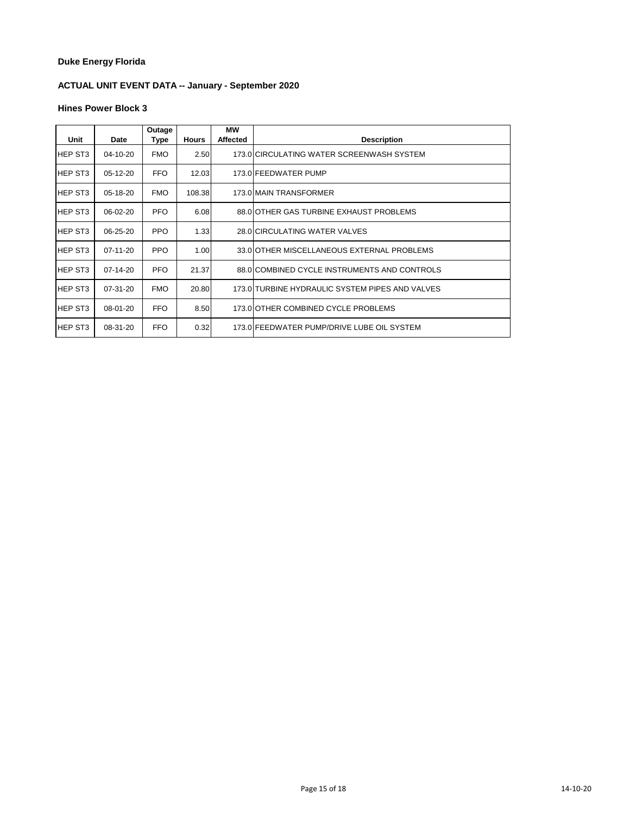# **ACTUAL UNIT EVENT DATA -- January - September 2020**

| Unit           |            | Outage     |              | МW<br><b>Affected</b> | <b>Description</b>                              |
|----------------|------------|------------|--------------|-----------------------|-------------------------------------------------|
|                | Date       | Type       | <b>Hours</b> |                       |                                                 |
| <b>HEP ST3</b> | 04-10-20   | <b>FMO</b> | 2.50         |                       | 173.0 CIRCULATING WATER SCREENWASH SYSTEM       |
| <b>HEP ST3</b> | 05-12-20   | <b>FFO</b> | 12.03        |                       | 173.0 FEEDWATER PUMP                            |
| <b>HEP ST3</b> | 05-18-20   | <b>FMO</b> | 108.38       |                       | 173.0 MAIN TRANSFORMER                          |
| <b>HEP ST3</b> | $06-02-20$ | <b>PFO</b> | 6.08         |                       | 88.0 OTHER GAS TURBINE EXHAUST PROBLEMS         |
| <b>HEP ST3</b> | 06-25-20   | <b>PPO</b> | 1.33         |                       | 28.0 CIRCULATING WATER VALVES                   |
| <b>HEP ST3</b> | 07-11-20   | <b>PPO</b> | 1.00         |                       | 33.0 OTHER MISCELLANEOUS EXTERNAL PROBLEMS      |
| <b>HEP ST3</b> | 07-14-20   | <b>PFO</b> | 21.37        |                       | 88.0 COMBINED CYCLE INSTRUMENTS AND CONTROLS    |
| <b>HEP ST3</b> | 07-31-20   | <b>FMO</b> | 20.80        |                       | 173.0 TURBINE HYDRAULIC SYSTEM PIPES AND VALVES |
| <b>HEP ST3</b> | 08-01-20   | <b>FFO</b> | 8.50         |                       | 173.0 OTHER COMBINED CYCLE PROBLEMS             |
| IHEP ST3       | 08-31-20   | <b>FFO</b> | 0.32         |                       | 173.0 FEEDWATER PUMP/DRIVE LUBE OIL SYSTEM      |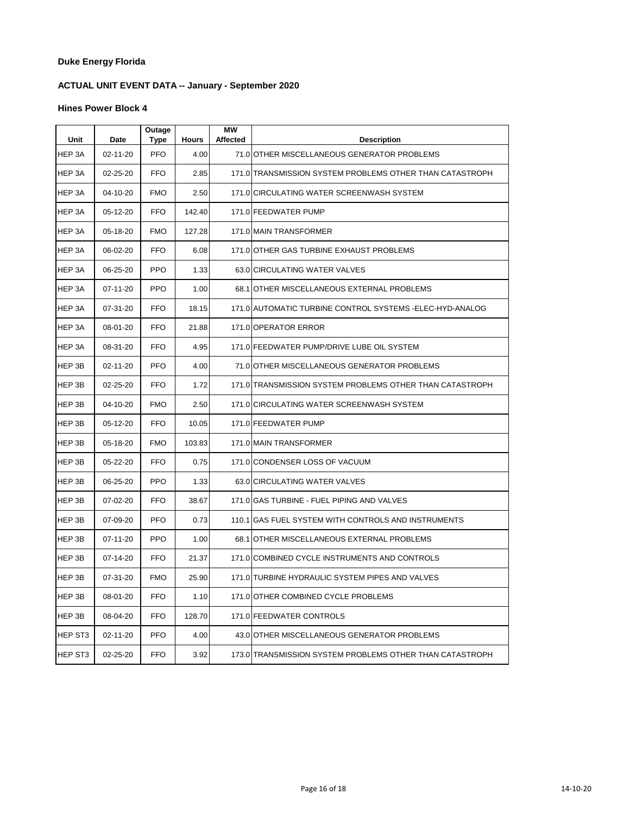# **ACTUAL UNIT EVENT DATA -- January - September 2020**

| Unit    | Date     | Outage<br>Type | <b>Hours</b> | МW<br><b>Affected</b> | <b>Description</b>                                        |
|---------|----------|----------------|--------------|-----------------------|-----------------------------------------------------------|
| HEP 3A  | 02-11-20 | <b>PFO</b>     | 4.00         |                       | 71.0 OTHER MISCELLANEOUS GENERATOR PROBLEMS               |
| HEP 3A  | 02-25-20 | <b>FFO</b>     | 2.85         |                       | 171.0 TRANSMISSION SYSTEM PROBLEMS OTHER THAN CATASTROPH  |
| HEP 3A  | 04-10-20 | <b>FMO</b>     | 2.50         |                       | 171.0 CIRCULATING WATER SCREENWASH SYSTEM                 |
| HEP 3A  | 05-12-20 | FFO            | 142.40       |                       | 171.0 FEEDWATER PUMP                                      |
| HEP 3A  | 05-18-20 | <b>FMO</b>     | 127.28       |                       | 171.0 MAIN TRANSFORMER                                    |
| HEP 3A  | 06-02-20 | FFO            | 6.08         |                       | 171.0 OTHER GAS TURBINE EXHAUST PROBLEMS                  |
| HEP 3A  | 06-25-20 | <b>PPO</b>     | 1.33         |                       | 63.0 CIRCULATING WATER VALVES                             |
| HEP 3A  | 07-11-20 | <b>PPO</b>     | 1.00         |                       | 68.1 OTHER MISCELLANEOUS EXTERNAL PROBLEMS                |
| HEP 3A  | 07-31-20 | <b>FFO</b>     | 18.15        |                       | 171.0 AUTOMATIC TURBINE CONTROL SYSTEMS - ELEC-HYD-ANALOG |
| HEP 3A  | 08-01-20 | <b>FFO</b>     | 21.88        |                       | 171.0 OPERATOR ERROR                                      |
| HEP 3A  | 08-31-20 | <b>FFO</b>     | 4.95         |                       | 171.0 FEEDWATER PUMP/DRIVE LUBE OIL SYSTEM                |
| HEP 3B  | 02-11-20 | <b>PFO</b>     | 4.00         |                       | 71.0 OTHER MISCELLANEOUS GENERATOR PROBLEMS               |
| HEP 3B  | 02-25-20 | FFO            | 1.72         |                       | 171.0 TRANSMISSION SYSTEM PROBLEMS OTHER THAN CATASTROPH  |
| HEP 3B  | 04-10-20 | <b>FMO</b>     | 2.50         |                       | 171.0 CIRCULATING WATER SCREENWASH SYSTEM                 |
| HEP 3B  | 05-12-20 | <b>FFO</b>     | 10.05        |                       | 171.0 FEEDWATER PUMP                                      |
| HEP 3B  | 05-18-20 | <b>FMO</b>     | 103.83       |                       | 171.0 MAIN TRANSFORMER                                    |
| HEP 3B  | 05-22-20 | <b>FFO</b>     | 0.75         |                       | 171.0 CONDENSER LOSS OF VACUUM                            |
| HEP 3B  | 06-25-20 | <b>PPO</b>     | 1.33         |                       | 63.0 CIRCULATING WATER VALVES                             |
| HEP 3B  | 07-02-20 | <b>FFO</b>     | 38.67        |                       | 171.0 GAS TURBINE - FUEL PIPING AND VALVES                |
| HEP 3B  | 07-09-20 | <b>PFO</b>     | 0.73         |                       | 110.1 GAS FUEL SYSTEM WITH CONTROLS AND INSTRUMENTS       |
| HEP 3B  | 07-11-20 | <b>PPO</b>     | 1.00         |                       | 68.1 OTHER MISCELLANEOUS EXTERNAL PROBLEMS                |
| HEP 3B  | 07-14-20 | FFO            | 21.37        |                       | 171.0 COMBINED CYCLE INSTRUMENTS AND CONTROLS             |
| HEP 3B  | 07-31-20 | <b>FMO</b>     | 25.90        |                       | 171.0 TURBINE HYDRAULIC SYSTEM PIPES AND VALVES           |
| HEP 3B  | 08-01-20 | FFO            | 1.10         |                       | 171.0 OTHER COMBINED CYCLE PROBLEMS                       |
| HEP 3B  | 08-04-20 | FFO            | 128.70       |                       | 171.0 FEEDWATER CONTROLS                                  |
| HEP ST3 | 02-11-20 | <b>PFO</b>     | 4.00         |                       | 43.0 OTHER MISCELLANEOUS GENERATOR PROBLEMS               |
| HEP ST3 | 02-25-20 | FFO            | 3.92         |                       | 173.0 TRANSMISSION SYSTEM PROBLEMS OTHER THAN CATASTROPH  |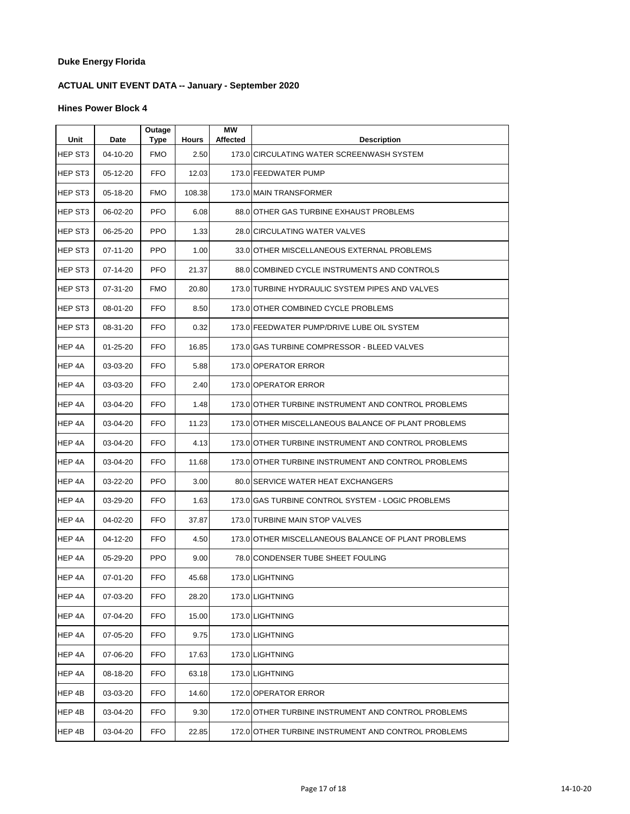# **ACTUAL UNIT EVENT DATA -- January - September 2020**

| Unit                | Date           | Outage<br>Type | <b>Hours</b> | <b>MW</b><br>Affected | <b>Description</b>                                  |
|---------------------|----------------|----------------|--------------|-----------------------|-----------------------------------------------------|
| HEP ST <sub>3</sub> | 04-10-20       | <b>FMO</b>     | 2.50         |                       | 173.0 CIRCULATING WATER SCREENWASH SYSTEM           |
| HEP ST3             | 05-12-20       | FFO            | 12.03        |                       | 173.0 FEEDWATER PUMP                                |
| HEP ST3             | 05-18-20       | <b>FMO</b>     | 108.38       |                       | 173.0 MAIN TRANSFORMER                              |
| HEP ST3             | 06-02-20       | <b>PFO</b>     | 6.08         |                       | 88.0 OTHER GAS TURBINE EXHAUST PROBLEMS             |
| HEP ST3             | 06-25-20       | <b>PPO</b>     | 1.33         |                       | 28.0 CIRCULATING WATER VALVES                       |
| HEP ST3             | 07-11-20       | <b>PPO</b>     | 1.00         |                       | 33.0 OTHER MISCELLANEOUS EXTERNAL PROBLEMS          |
| HEP ST3             | 07-14-20       | <b>PFO</b>     | 21.37        |                       | 88.0 COMBINED CYCLE INSTRUMENTS AND CONTROLS        |
| HEP ST3             | 07-31-20       | <b>FMO</b>     | 20.80        |                       | 173.0 TURBINE HYDRAULIC SYSTEM PIPES AND VALVES     |
| HEP ST3             | 08-01-20       | <b>FFO</b>     | 8.50         |                       | 173.0 OTHER COMBINED CYCLE PROBLEMS                 |
| HEP ST3             | 08-31-20       | <b>FFO</b>     | 0.32         |                       | 173.0 FEEDWATER PUMP/DRIVE LUBE OIL SYSTEM          |
| HEP 4A              | $01 - 25 - 20$ | <b>FFO</b>     | 16.85        |                       | 173.0 GAS TURBINE COMPRESSOR - BLEED VALVES         |
| HEP 4A              | 03-03-20       | <b>FFO</b>     | 5.88         |                       | 173.0 OPERATOR ERROR                                |
| HEP 4A              | 03-03-20       | FFO.           | 2.40         |                       | 173.0 OPERATOR ERROR                                |
| HEP 4A              | 03-04-20       | FFO            | 1.48         |                       | 173.0 OTHER TURBINE INSTRUMENT AND CONTROL PROBLEMS |
| HEP 4A              | 03-04-20       | <b>FFO</b>     | 11.23        |                       | 173.0 OTHER MISCELLANEOUS BALANCE OF PLANT PROBLEMS |
| HEP 4A              | 03-04-20       | FFO            | 4.13         |                       | 173.0 OTHER TURBINE INSTRUMENT AND CONTROL PROBLEMS |
| HEP 4A              | 03-04-20       | <b>FFO</b>     | 11.68        |                       | 173.0 OTHER TURBINE INSTRUMENT AND CONTROL PROBLEMS |
| HEP 4A              | 03-22-20       | <b>PFO</b>     | 3.00         |                       | 80.0 SERVICE WATER HEAT EXCHANGERS                  |
| HEP 4A              | 03-29-20       | <b>FFO</b>     | 1.63         |                       | 173.0 GAS TURBINE CONTROL SYSTEM - LOGIC PROBLEMS   |
| HEP 4A              | 04-02-20       | FFO.           | 37.87        |                       | 173.0 TURBINE MAIN STOP VALVES                      |
| HEP 4A              | 04-12-20       | FFO            | 4.50         |                       | 173.0 OTHER MISCELLANEOUS BALANCE OF PLANT PROBLEMS |
| HEP 4A              | 05-29-20       | <b>PPO</b>     | 9.00         |                       | 78.0 CONDENSER TUBE SHEET FOULING                   |
| HEP 4A              | 07-01-20       | <b>FFO</b>     | 45.68        |                       | 173.0 LIGHTNING                                     |
| HEP 4A              | 07-03-20       | <b>FFO</b>     | 28.20        |                       | 173.0 LIGHTNING                                     |
| HEP 4A              | 07-04-20       | <b>FFO</b>     | 15.00        |                       | 173.0 LIGHTNING                                     |
| HEP 4A              | 07-05-20       | FFO            | 9.75         |                       | 173.0 LIGHTNING                                     |
| HEP 4A              | 07-06-20       | <b>FFO</b>     | 17.63        |                       | 173.0 LIGHTNING                                     |
| HEP 4A              | 08-18-20       | <b>FFO</b>     | 63.18        |                       | 173.0 LIGHTNING                                     |
| HEP 4B              | 03-03-20       | <b>FFO</b>     | 14.60        |                       | 172.0 OPERATOR ERROR                                |
| HEP 4B              | 03-04-20       | FFO            | 9.30         |                       | 172.0 OTHER TURBINE INSTRUMENT AND CONTROL PROBLEMS |
| HEP 4B              | 03-04-20       | FFO            | 22.85        |                       | 172.0 OTHER TURBINE INSTRUMENT AND CONTROL PROBLEMS |